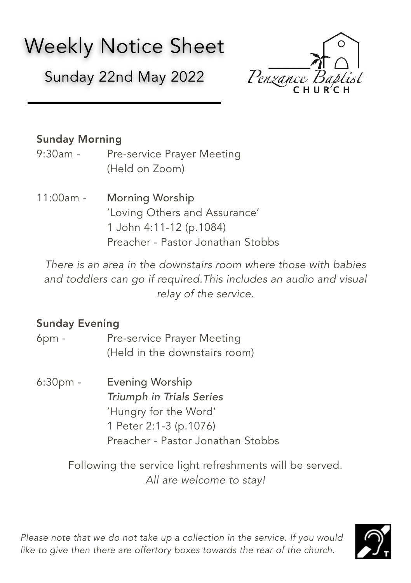# Weekly Notice Sheet

Sunday 22nd May 2022



## Sunday Morning

- 9:30am Pre-service Prayer Meeting (Held on Zoom)
- 11:00am Morning Worship 'Loving Others and Assurance' 1 John 4:11-12 (p.1084) Preacher - Pastor Jonathan Stobbs

*There is an area in the downstairs room where those with babies and toddlers can go if required.This includes an audio and visual relay of the service.* 

### Sunday Evening

- 6pm Pre-service Prayer Meeting (Held in the downstairs room)
- 6:30pm Evening Worship *Triumph in Trials Series* 'Hungry for the Word' 1 Peter 2:1-3 (p.1076) Preacher - Pastor Jonathan Stobbs

Following the service light refreshments will be served. *All are welcome to stay!*

*Please note that we do not take up a collection in the service. If you would*  like to give then there are offertory boxes towards the rear of the church.